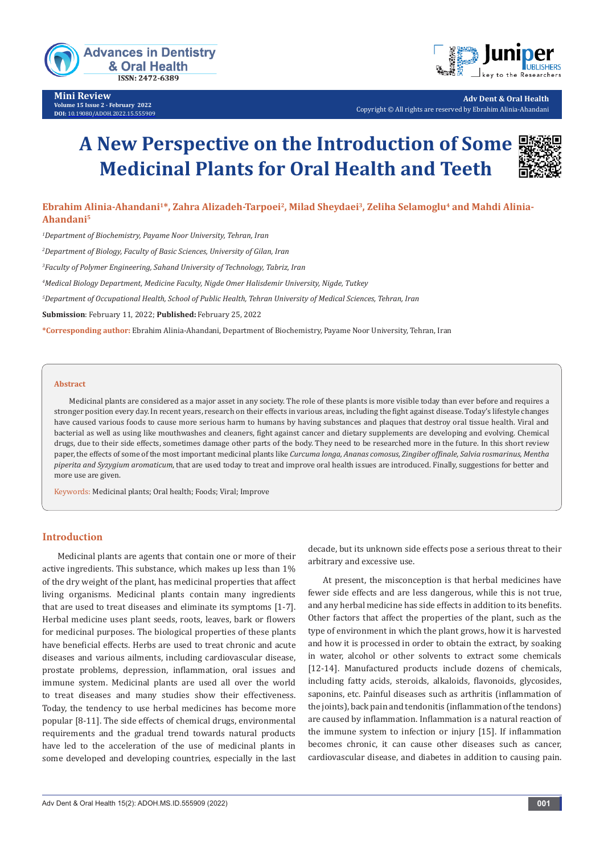

**Mini Review Volume 15 Issue 2 - February 2022 DOI:** [10.19080/ADOH.2022.15.555](http://dx.doi.org/10.19080/ADOH.2022.15.555909)909



**Adv Dent & Oral Health** Copyright © All rights are reserved by Ebrahim Alinia-Ahandani

# **A New Perspective on the Introduction of Some Medicinal Plants for Oral Health and Teeth**



# Ebrahim Alinia-Ahandani<sup>1\*</sup>, Zahra Alizadeh-Tarpoei<sup>2</sup>, Milad Sheydaei<sup>3</sup>, Zeliha Selamoglu<sup>4</sup> and Mahdi Alinia-**Ahandani5**

*1 Department of Biochemistry, Payame Noor University, Tehran, Iran* 

*2 Department of Biology, Faculty of Basic Sciences, University of Gilan, Iran*

*3 Faculty of Polymer Engineering, Sahand University of Technology, Tabriz, Iran*

*4 Medical Biology Department, Medicine Faculty, Nigde Omer Halisdemir University, Nigde, Tutkey*

*5 Department of Occupational Health, School of Public Health, Tehran University of Medical Sciences, Tehran, Iran*

**Submission**: February 11, 2022; **Published:** February 25, 2022

**\*Corresponding author:** Ebrahim Alinia-Ahandani, Department of Biochemistry, Payame Noor University, Tehran, Iran

#### **Abstract**

Medicinal plants are considered as a major asset in any society. The role of these plants is more visible today than ever before and requires a stronger position every day. In recent years, research on their effects in various areas, including the fight against disease. Today's lifestyle changes have caused various foods to cause more serious harm to humans by having substances and plaques that destroy oral tissue health. Viral and bacterial as well as using like mouthwashes and cleaners, fight against cancer and dietary supplements are developing and evolving. Chemical drugs, due to their side effects, sometimes damage other parts of the body. They need to be researched more in the future. In this short review paper, the effects of some of the most important medicinal plants like *Curcuma longa, Ananas comosus, Zingiber offinale, Salvia rosmarinus, Mentha piperita and Syzygium aromaticum*, that are used today to treat and improve oral health issues are introduced. Finally, suggestions for better and more use are given.

Keywords: Medicinal plants; Oral health; Foods; Viral; Improve

#### **Introduction**

Medicinal plants are agents that contain one or more of their active ingredients. This substance, which makes up less than 1% of the dry weight of the plant, has medicinal properties that affect living organisms. Medicinal plants contain many ingredients that are used to treat diseases and eliminate its symptoms [1-7]. Herbal medicine uses plant seeds, roots, leaves, bark or flowers for medicinal purposes. The biological properties of these plants have beneficial effects. Herbs are used to treat chronic and acute diseases and various ailments, including cardiovascular disease, prostate problems, depression, inflammation, oral issues and immune system. Medicinal plants are used all over the world to treat diseases and many studies show their effectiveness. Today, the tendency to use herbal medicines has become more popular [8-11]. The side effects of chemical drugs, environmental requirements and the gradual trend towards natural products have led to the acceleration of the use of medicinal plants in some developed and developing countries, especially in the last

decade, but its unknown side effects pose a serious threat to their arbitrary and excessive use.

At present, the misconception is that herbal medicines have fewer side effects and are less dangerous, while this is not true, and any herbal medicine has side effects in addition to its benefits. Other factors that affect the properties of the plant, such as the type of environment in which the plant grows, how it is harvested and how it is processed in order to obtain the extract, by soaking in water, alcohol or other solvents to extract some chemicals [12-14]. Manufactured products include dozens of chemicals, including fatty acids, steroids, alkaloids, flavonoids, glycosides, saponins, etc. Painful diseases such as arthritis (inflammation of the joints), back pain and tendonitis (inflammation of the tendons) are caused by inflammation. Inflammation is a natural reaction of the immune system to infection or injury [15]. If inflammation becomes chronic, it can cause other diseases such as cancer, cardiovascular disease, and diabetes in addition to causing pain.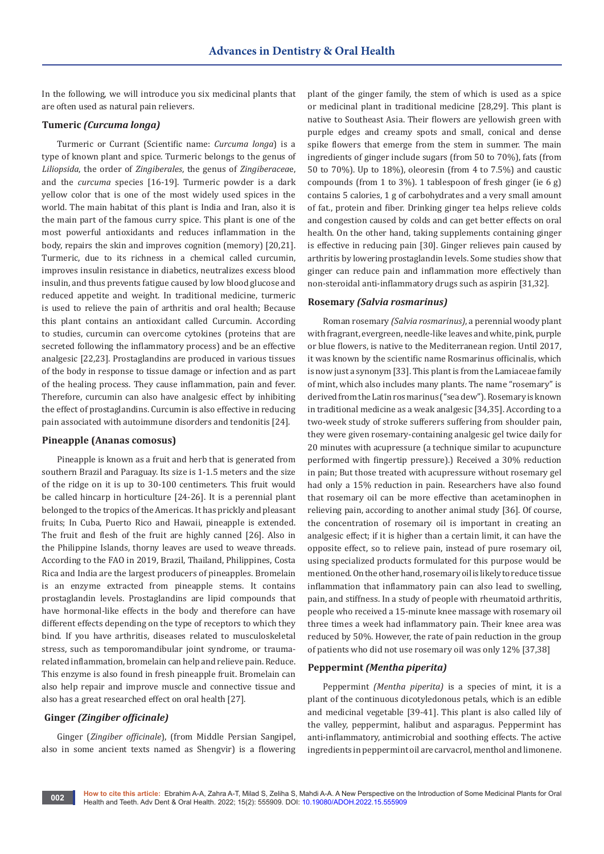In the following, we will introduce you six medicinal plants that are often used as natural pain relievers.

# **Tumeric** *(Curcuma longa)*

Turmeric or Currant (Scientific name: *Curcuma longa*) is a type of known plant and spice. Turmeric belongs to the genus of *Liliopsida*, the order of *Zingiberales*, the genus of *Zingiberacea*e, and the *curcuma* species [16-19]. Turmeric powder is a dark yellow color that is one of the most widely used spices in the world. The main habitat of this plant is India and Iran, also it is the main part of the famous curry spice. This plant is one of the most powerful antioxidants and reduces inflammation in the body, repairs the skin and improves cognition (memory) [20,21]. Turmeric, due to its richness in a chemical called curcumin, improves insulin resistance in diabetics, neutralizes excess blood insulin, and thus prevents fatigue caused by low blood glucose and reduced appetite and weight. In traditional medicine, turmeric is used to relieve the pain of arthritis and oral health; Because this plant contains an antioxidant called Curcumin. According to studies, curcumin can overcome cytokines (proteins that are secreted following the inflammatory process) and be an effective analgesic [22,23]. Prostaglandins are produced in various tissues of the body in response to tissue damage or infection and as part of the healing process. They cause inflammation, pain and fever. Therefore, curcumin can also have analgesic effect by inhibiting the effect of prostaglandins. Curcumin is also effective in reducing pain associated with autoimmune disorders and tendonitis [24].

#### **Pineapple (Ananas comosus)**

Pineapple is known as a fruit and herb that is generated from southern Brazil and Paraguay. Its size is 1-1.5 meters and the size of the ridge on it is up to 30-100 centimeters. This fruit would be called hincarp in horticulture [24-26]. It is a perennial plant belonged to the tropics of the Americas. It has prickly and pleasant fruits; In Cuba, Puerto Rico and Hawaii, pineapple is extended. The fruit and flesh of the fruit are highly canned [26]. Also in the Philippine Islands, thorny leaves are used to weave threads. According to the FAO in 2019, Brazil, Thailand, Philippines, Costa Rica and India are the largest producers of pineapples. Bromelain is an enzyme extracted from pineapple stems. It contains prostaglandin levels. Prostaglandins are lipid compounds that have hormonal-like effects in the body and therefore can have different effects depending on the type of receptors to which they bind. If you have arthritis, diseases related to musculoskeletal stress, such as temporomandibular joint syndrome, or traumarelated inflammation, bromelain can help and relieve pain. Reduce. This enzyme is also found in fresh pineapple fruit. Bromelain can also help repair and improve muscle and connective tissue and also has a great researched effect on oral health [27].

#### **Ginger** *(Zingiber officinale)*

Ginger (*Zingiber officinale*), (from Middle Persian Sangipel, also in some ancient texts named as Shengvir) is a flowering

plant of the ginger family, the stem of which is used as a spice or medicinal plant in traditional medicine [28,29]. This plant is native to Southeast Asia. Their flowers are yellowish green with purple edges and creamy spots and small, conical and dense spike flowers that emerge from the stem in summer. The main ingredients of ginger include sugars (from 50 to 70%), fats (from 50 to 70%). Up to 18%), oleoresin (from 4 to 7.5%) and caustic compounds (from 1 to 3%). 1 tablespoon of fresh ginger (ie 6 g) contains 5 calories, 1 g of carbohydrates and a very small amount of fat., protein and fiber. Drinking ginger tea helps relieve colds and congestion caused by colds and can get better effects on oral health. On the other hand, taking supplements containing ginger is effective in reducing pain [30]. Ginger relieves pain caused by arthritis by lowering prostaglandin levels. Some studies show that ginger can reduce pain and inflammation more effectively than non-steroidal anti-inflammatory drugs such as aspirin [31,32].

#### **Rosemary** *(Salvia rosmarinus)*

Roman rosemary *(Salvia rosmarinus)*, a perennial woody plant with fragrant, evergreen, needle-like leaves and white, pink, purple or blue flowers, is native to the Mediterranean region. Until 2017, it was known by the scientific name Rosmarinus officinalis, which is now just a synonym [33]. This plant is from the Lamiaceae family of mint, which also includes many plants. The name "rosemary" is derived from the Latin ros marinus ("sea dew"). Rosemary is known in traditional medicine as a weak analgesic [34,35]. According to a two-week study of stroke sufferers suffering from shoulder pain, they were given rosemary-containing analgesic gel twice daily for 20 minutes with acupressure (a technique similar to acupuncture performed with fingertip pressure).) Received a 30% reduction in pain; But those treated with acupressure without rosemary gel had only a 15% reduction in pain. Researchers have also found that rosemary oil can be more effective than acetaminophen in relieving pain, according to another animal study [36]. Of course, the concentration of rosemary oil is important in creating an analgesic effect; if it is higher than a certain limit, it can have the opposite effect, so to relieve pain, instead of pure rosemary oil, using specialized products formulated for this purpose would be mentioned. On the other hand, rosemary oil is likely to reduce tissue inflammation that inflammatory pain can also lead to swelling, pain, and stiffness. In a study of people with rheumatoid arthritis, people who received a 15-minute knee massage with rosemary oil three times a week had inflammatory pain. Their knee area was reduced by 50%. However, the rate of pain reduction in the group of patients who did not use rosemary oil was only 12% [37,38]

#### **Peppermint** *(Mentha piperita)*

Peppermint *(Mentha piperita)* is a species of mint, it is a plant of the continuous dicotyledonous petals, which is an edible and medicinal vegetable [39-41]. This plant is also called lily of the valley, peppermint, halibut and asparagus. Peppermint has anti-inflammatory, antimicrobial and soothing effects. The active ingredients in peppermint oil are carvacrol, menthol and limonene.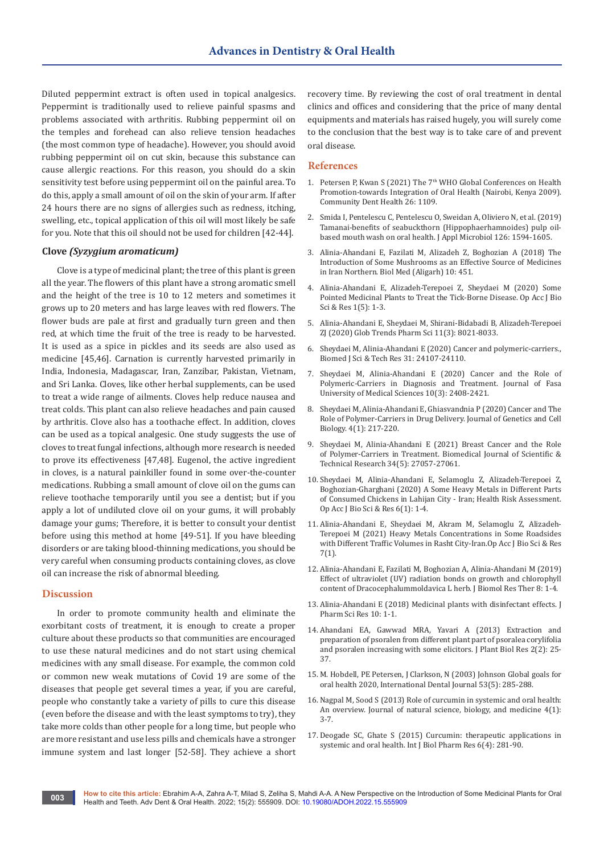Diluted peppermint extract is often used in topical analgesics. Peppermint is traditionally used to relieve painful spasms and problems associated with arthritis. Rubbing peppermint oil on the temples and forehead can also relieve tension headaches (the most common type of headache). However, you should avoid rubbing peppermint oil on cut skin, because this substance can cause allergic reactions. For this reason, you should do a skin sensitivity test before using peppermint oil on the painful area. To do this, apply a small amount of oil on the skin of your arm. If after 24 hours there are no signs of allergies such as redness, itching, swelling, etc., topical application of this oil will most likely be safe for you. Note that this oil should not be used for children [42-44].

#### **Clove** *(Syzygium aromaticum)*

Clove is a type of medicinal plant; the tree of this plant is green all the year. The flowers of this plant have a strong aromatic smell and the height of the tree is 10 to 12 meters and sometimes it grows up to 20 meters and has large leaves with red flowers. The flower buds are pale at first and gradually turn green and then red, at which time the fruit of the tree is ready to be harvested. It is used as a spice in pickles and its seeds are also used as medicine [45,46]. Carnation is currently harvested primarily in India, Indonesia, Madagascar, Iran, Zanzibar, Pakistan, Vietnam, and Sri Lanka. Cloves, like other herbal supplements, can be used to treat a wide range of ailments. Cloves help reduce nausea and treat colds. This plant can also relieve headaches and pain caused by arthritis. Clove also has a toothache effect. In addition, cloves can be used as a topical analgesic. One study suggests the use of cloves to treat fungal infections, although more research is needed to prove its effectiveness [47,48]. Eugenol, the active ingredient in cloves, is a natural painkiller found in some over-the-counter medications. Rubbing a small amount of clove oil on the gums can relieve toothache temporarily until you see a dentist; but if you apply a lot of undiluted clove oil on your gums, it will probably damage your gums; Therefore, it is better to consult your dentist before using this method at home [49-51]. If you have bleeding disorders or are taking blood-thinning medications, you should be very careful when consuming products containing cloves, as clove oil can increase the risk of abnormal bleeding.

# **Discussion**

In order to promote community health and eliminate the exorbitant costs of treatment, it is enough to create a proper culture about these products so that communities are encouraged to use these natural medicines and do not start using chemical medicines with any small disease. For example, the common cold or common new weak mutations of Covid 19 are some of the diseases that people get several times a year, if you are careful, people who constantly take a variety of pills to cure this disease (even before the disease and with the least symptoms to try), they take more colds than other people for a long time, but people who are more resistant and use less pills and chemicals have a stronger immune system and last longer [52-58]. They achieve a short

recovery time. By reviewing the cost of oral treatment in dental clinics and offices and considering that the price of many dental equipments and materials has raised hugely, you will surely come to the conclusion that the best way is to take care of and prevent oral disease.

#### **References**

- 1. Petersen P, Kwan S (2021) The  $7<sup>th</sup>$  WHO Global Conferences on Health Promotion-towards Integration of Oral Health (Nairobi, Kenya 2009). Community Dent Health 26: 1109.
- 2. Smida I, Pentelescu C, Pentelescu O, Sweidan A, Oliviero N, et al. (2019) Tamanai-benefits of seabuckthorn (Hippophaerhamnoides) pulp oilbased mouth wash on oral health. J Appl Microbiol 126: 1594-1605.
- 3. Alinia-Ahandani E, Fazilati M, Alizadeh Z, Boghozian A (2018) The Introduction of Some Mushrooms as an Effective Source of Medicines in Iran Northern. Biol Med (Aligarh) 10: 451.
- 4. Alinia-Ahandani E, Alizadeh-Terepoei Z, Sheydaei M (2020) Some Pointed Medicinal Plants to Treat the Tick-Borne Disease. Op Acc J Bio Sci & Res 1(5): 1-3.
- 5. Alinia-Ahandani E, Sheydaei M, Shirani-Bidabadi B, Alizadeh-Terepoei ZJ (2020) Glob Trends Pharm Sci 11(3): 8021-8033.
- 6. Sheydaei M, Alinia-Ahandani E (2020) Cancer and polymeric-carriers., Biomed J Sci & Tech Res 31: 24107-24110.
- 7. [Sheydaei M, Alinia-Ahandani E \(2020\) Cancer and the Role of](http://journal.fums.ac.ir/browse.php?a_id=2384&sid=1&slc_lang=en&ftxt=0)  [Polymeric-Carriers in Diagnosis and Treatment. Journal of Fasa](http://journal.fums.ac.ir/browse.php?a_id=2384&sid=1&slc_lang=en&ftxt=0)  [University of Medical Sciences 10\(3\): 2408-2421.](http://journal.fums.ac.ir/browse.php?a_id=2384&sid=1&slc_lang=en&ftxt=0)
- 8. Sheydaei M, Alinia-Ahandani E, Ghiasvandnia P (2020) Cancer and The Role of Polymer-Carriers in Drug Delivery. Journal of Genetics and Cell Biology. 4(1): 217-220.
- 9. [Sheydaei M, Alinia-Ahandani E \(2021\) Breast Cancer and the Role](https://econpapers.repec.org/article/abfjournl/v_3a34_3ay_3a2021_3ai_3a5_3ap_3a27057-27061.htm)  [of Polymer-Carriers in Treatment. Biomedical Journal of Scientific &](https://econpapers.repec.org/article/abfjournl/v_3a34_3ay_3a2021_3ai_3a5_3ap_3a27057-27061.htm)  [Technical Research 34\(5\): 27057-27061.](https://econpapers.repec.org/article/abfjournl/v_3a34_3ay_3a2021_3ai_3a5_3ap_3a27057-27061.htm)
- 10. Sheydaei M, Alinia-Ahandani E, Selamoglu Z, Alizadeh-Terepoei Z, Boghozian-Gharghani (2020) A Some Heavy Metals in Different Parts of Consumed Chickens in Lahijan City - Iran; Health Risk Assessment. Op Acc J Bio Sci & Res 6(1): 1-4.
- 11. Alinia-Ahandani E, Sheydaei M, Akram M, Selamoglu Z, Alizadeh-Terepoei M (2021) Heavy Metals Concentrations in Some Roadsides with Different Traffic Volumes in Rasht City-Iran.Op Acc J Bio Sci & Res 7(1).
- 12. Alinia-Ahandani E, Fazilati M, Boghozian A, Alinia-Ahandani M (2019) Effect of ultraviolet (UV) radiation bonds on growth and chlorophyll content of Dracocephalummoldavica L herb. J Biomol Res Ther 8: 1-4.
- 13. Alinia-Ahandani E (2018) Medicinal plants with disinfectant effects. J Pharm Sci Res 10: 1-1.
- 14. [Ahandani EA, Gawwad MRA, Yavari A \(2013\) Extraction and](https://www.cabdirect.org/cabdirect/abstract/20143114316)  [preparation of psoralen from different plant part of psoralea corylifolia](https://www.cabdirect.org/cabdirect/abstract/20143114316)  [and psoralen increasing with some elicitors. J Plant Biol Res 2\(2\): 25-](https://www.cabdirect.org/cabdirect/abstract/20143114316) [37.](https://www.cabdirect.org/cabdirect/abstract/20143114316)
- 15. M. Hobdell, PE Petersen, J Clarkson, N (2003) Johnson Global goals for oral health 2020, International Dental Journal 53(5): 285-288.
- 16. [Nagpal M, Sood S \(2013\) Role of curcumin in systemic and oral health:](https://www.ncbi.nlm.nih.gov/labs/pmc/articles/PMC3633300/)  [An overview. Journal of natural science, biology, and medicine 4\(1\):](https://www.ncbi.nlm.nih.gov/labs/pmc/articles/PMC3633300/)  [3-7.](https://www.ncbi.nlm.nih.gov/labs/pmc/articles/PMC3633300/)
- 17. Deogade SC, Ghate S (2015) Curcumin: therapeutic applications in systemic and oral health. Int J Biol Pharm Res 6(4): 281-90.

**003**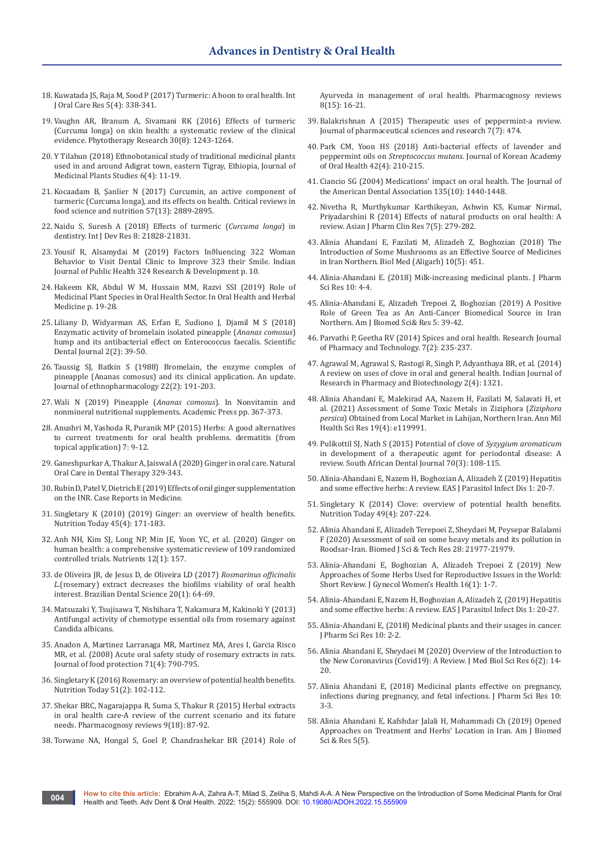- 18. Kuwatada JS, Raja M, Sood P (2017) Turmeric: A boon to oral health. Int J Oral Care Res 5(4): 338-341.
- 19. [Vaughn AR, Branum A, Sivamani RK \(2016\) Effects of turmeric](https://pubmed.ncbi.nlm.nih.gov/27213821/)  [\(Curcuma longa\) on skin health: a systematic review of the clinical](https://pubmed.ncbi.nlm.nih.gov/27213821/)  [evidence. Phytotherapy Research 30\(8\): 1243-1264.](https://pubmed.ncbi.nlm.nih.gov/27213821/)
- 20. [Y Tilahun \(2018\) Ethnobotanical study of traditional medicinal plants](https://www.semanticscholar.org/paper/Ethnobotanical-study-of-traditional-medicinal-used-Tilahun/bf669d6b15817a03755686e9435ef132e9f4be6c)  [used in and around Adigrat town, eastern Tigray, Ethiopia, Journal of](https://www.semanticscholar.org/paper/Ethnobotanical-study-of-traditional-medicinal-used-Tilahun/bf669d6b15817a03755686e9435ef132e9f4be6c)  [Medicinal Plants Studies 6\(4\): 11-19.](https://www.semanticscholar.org/paper/Ethnobotanical-study-of-traditional-medicinal-used-Tilahun/bf669d6b15817a03755686e9435ef132e9f4be6c)
- 21. [Kocaadam B, Şanlier N \(2017\) Curcumin, an active component of](https://pubmed.ncbi.nlm.nih.gov/26528921/)  [turmeric \(Curcuma longa\), and its effects on health. Critical reviews in](https://pubmed.ncbi.nlm.nih.gov/26528921/)  [food science and nutrition 57\(13\): 2889-2895.](https://pubmed.ncbi.nlm.nih.gov/26528921/)
- 22. [Naidu S, Suresh A \(2018\) Effects of turmeric \(](https://www.journalijdr.com/effects-turmeric-curcuma-longa-dentistry)*Curcuma longa*) in [dentistry. Int J Dev Res 8: 21828-21831.](https://www.journalijdr.com/effects-turmeric-curcuma-longa-dentistry)
- 23. Yousif R, Alsamydai M (2019) Factors Inϑluencing 322 Woman Behavior to Visit Dental Clinic to Improve 323 their Smile. Indian Journal of Public Health 324 Research & Development p. 10.
- 24. Hakeem KR, Abdul W M, Hussain MM, Razvi SSI (2019) Role of Medicinal Plant Species in Oral Health Sector. In Oral Health and Herbal Medicine p. 19-28.
- 25. [Liliany D, Widyarman AS, Erfan E, Sudiono J, Djamil M S \(2018\)](https://www.scidentj.com/article.asp?issn=2580-6548;year=2018;volume=2;issue=2;spage=39;epage=50;aulast=Liliany;type=0)  [Enzymatic activity of bromelain isolated pineapple \(](https://www.scidentj.com/article.asp?issn=2580-6548;year=2018;volume=2;issue=2;spage=39;epage=50;aulast=Liliany;type=0)*Ananas comosus*) [hump and its antibacterial effect on Enterococcus faecalis. Scientific](https://www.scidentj.com/article.asp?issn=2580-6548;year=2018;volume=2;issue=2;spage=39;epage=50;aulast=Liliany;type=0)  [Dental Journal 2\(2\): 39-50.](https://www.scidentj.com/article.asp?issn=2580-6548;year=2018;volume=2;issue=2;spage=39;epage=50;aulast=Liliany;type=0)
- 26. [Taussig SJ, Batkin S \(1988\) Bromelain, the enzyme complex of](https://pubmed.ncbi.nlm.nih.gov/3287010/)  [pineapple \(Ananas comosus\) and its clinical application. An update.](https://pubmed.ncbi.nlm.nih.gov/3287010/)  [Journal of ethnopharmacology 22\(2\): 191-203.](https://pubmed.ncbi.nlm.nih.gov/3287010/)
- 27. Wali N (2019) Pineapple (*Ananas comosus*). In Nonvitamin and nonmineral nutritional supplements. Academic Press pp. 367-373.
- 28. Anushri M, Yashoda R, Puranik MP (2015) Herbs: A good alternatives to current treatments for oral health problems. dermatitis (from topical application) 7: 9-12.
- 29. [Ganeshpurkar A, Thakur A, Jaiswal A \(2020\) Ginger in oral care. Natural](https://onlinelibrary.wiley.com/doi/abs/10.1002/9781119618973.ch21)  [Oral Care in Dental Therapy 329-343.](https://onlinelibrary.wiley.com/doi/abs/10.1002/9781119618973.ch21)
- 30. [Rubin D, Patel V, Dietrich E \(2019\) Effects of oral ginger supplementation](https://www.hindawi.com/journals/crim/2019/8784029/)  [on the INR. Case Reports in Medicine.](https://www.hindawi.com/journals/crim/2019/8784029/)
- 31. Singletary K (2010) (2019) Ginger: an overview of health benefits. Nutrition Today 45(4): 171-183.
- 32. [Anh NH, Kim SJ, Long NP, Min JE, Yoon YC, et al. \(2020\) Ginger on](https://www.meta.org/papers/ginger-on-human-health-a-comprehensive-systematic/31935866)  [human health: a comprehensive systematic review of 109 randomized](https://www.meta.org/papers/ginger-on-human-health-a-comprehensive-systematic/31935866)  [controlled trials. Nutrients 12\(1\): 157.](https://www.meta.org/papers/ginger-on-human-health-a-comprehensive-systematic/31935866)
- 33. [de Oliveira JR, de Jesus D, de Oliveira LD \(2017\)](https://ojs.ict.unesp.br/index.php/cob/article/view/1317) *Rosmarinus officinalis L*[.\(rosemary\) extract decreases the biofilms viability of oral health](https://ojs.ict.unesp.br/index.php/cob/article/view/1317)  [interest. Brazilian Dental Science 20\(1\): 64-69.](https://ojs.ict.unesp.br/index.php/cob/article/view/1317)
- 34. Matsuzaki Y, Tsujisawa T, Nishihara T, Nakamura M, Kakinoki Y (2013) Antifungal activity of chemotype essential oils from rosemary against Candida albicans.
- 35. [Anadon A, Martinez Larranaga MR, Martinez MA, Ares I, Garcia Risco](https://pubmed.ncbi.nlm.nih.gov/18468034/)  [MR, et al. \(2008\) Acute oral safety study of rosemary extracts in rats.](https://pubmed.ncbi.nlm.nih.gov/18468034/)  [Journal of food protection 71\(4\): 790-795.](https://pubmed.ncbi.nlm.nih.gov/18468034/)
- 36. Singletary K (2016) Rosemary: an overview of potential health benefits. Nutrition Today 51(2): 102-112.
- 37. [Shekar BRC, Nagarajappa R, Suma S, Thakur R \(2015\) Herbal extracts](https://pubmed.ncbi.nlm.nih.gov/26392704/)  [in oral health care-A review of the current scenario and its future](https://pubmed.ncbi.nlm.nih.gov/26392704/)  [needs. Pharmacognosy reviews 9\(18\): 87-92.](https://pubmed.ncbi.nlm.nih.gov/26392704/)
- 38. [Torwane NA, Hongal S, Goel P, Chandrashekar BR \(2014\) Role of](https://pubmed.ncbi.nlm.nih.gov/24600192/)

[Ayurveda in management of oral health. Pharmacognosy reviews](https://pubmed.ncbi.nlm.nih.gov/24600192/)  [8\(15\): 16-21.](https://pubmed.ncbi.nlm.nih.gov/24600192/)

- 39. Balakrishnan A (2015) Therapeutic uses of peppermint-a review. Journal of pharmaceutical sciences and research 7(7): 474.
- 40. [Park CM, Yoon HS \(2018\) Anti-bacterial effects of lavender and](https://synapse.koreamed.org/articles/1122284)  peppermint oils on *Streptococcus mutans*[. Journal of Korean Academy](https://synapse.koreamed.org/articles/1122284)  [of Oral Health 42\(4\): 210-215.](https://synapse.koreamed.org/articles/1122284)
- 41. [Ciancio SG \(2004\) Medications' impact on oral health. The Journal of](https://pubmed.ncbi.nlm.nih.gov/15551986/)  [the American Dental Association 135\(10\): 1440-1448.](https://pubmed.ncbi.nlm.nih.gov/15551986/)
- 42. Nivetha R, Murthykumar Karthikeyan, Ashwin KS, Kumar Nirmal, Priyadarshini R (2014) Effects of natural products on oral health: A review. Asian J Pharm Clin Res 7(5): 279-282.
- 43. [Alinia Ahandani E, Fazilati M, Alizadeh Z, Boghozian \(2018\) The](https://www.semanticscholar.org/paper/The-Introduction-of-Some-Mushrooms-as-an-Effective-Alinia-Ahandani-Fazilati/42e99b5041cec34d32aa2db3d3a35eeacca70c2d)  [Introduction of Some Mushrooms as an Effective Source of Medicines](https://www.semanticscholar.org/paper/The-Introduction-of-Some-Mushrooms-as-an-Effective-Alinia-Ahandani-Fazilati/42e99b5041cec34d32aa2db3d3a35eeacca70c2d)  [in Iran Northern. Biol Med \(Aligarh\) 10\(5\): 451.](https://www.semanticscholar.org/paper/The-Introduction-of-Some-Mushrooms-as-an-Effective-Alinia-Ahandani-Fazilati/42e99b5041cec34d32aa2db3d3a35eeacca70c2d)
- 44. Alinia-Ahandani E. (2018) Milk-increasing medicinal plants. J Pharm Sci Res 10: 4-4.
- 45. [Alinia-Ahandani E, Alizadeh Trepoei Z, Boghozian \(2019\) A Positive](https://biomedgrid.com/fulltext/volume5/positive-role-of-green-tea-as-an-anti-cancer-biomedical-source-in-iran-northern.000870.php)  [Role of Green Tea as An Anti-Cancer Biomedical Source in Iran](https://biomedgrid.com/fulltext/volume5/positive-role-of-green-tea-as-an-anti-cancer-biomedical-source-in-iran-northern.000870.php)  [Northern. Am J Biomed Sci& Res 5: 39-42.](https://biomedgrid.com/fulltext/volume5/positive-role-of-green-tea-as-an-anti-cancer-biomedical-source-in-iran-northern.000870.php)
- 46. Parvathi P, Geetha RV (2014) Spices and oral health. Research Journal of Pharmacy and Technology. 7(2): 235-237.
- 47. [Agrawal M, Agrawal S, Rastogi R, Singh P, Adyanthaya BR, et al. \(2014\)](https://www.semanticscholar.org/paper/A-review-on-uses-of-clove-in-oral-and-general-Agrawal-Agrawal/84e9f27e067f88170ac998509cd29d62eece88db)  [A review on uses of clove in oral and general health. Indian Journal of](https://www.semanticscholar.org/paper/A-review-on-uses-of-clove-in-oral-and-general-Agrawal-Agrawal/84e9f27e067f88170ac998509cd29d62eece88db)  [Research in Pharmacy and Biotechnology 2\(4\): 1321.](https://www.semanticscholar.org/paper/A-review-on-uses-of-clove-in-oral-and-general-Agrawal-Agrawal/84e9f27e067f88170ac998509cd29d62eece88db)
- 48. [Alinia Ahandani E, Malekirad AA, Nazem H, Fazilati M, Salavati H, et](https://www.magiran.com/paper/2382035)  [al. \(2021\) Assessment of Some Toxic Metals in Ziziphora \(](https://www.magiran.com/paper/2382035)*Ziziphora persica*[\) Obtained from Local Market in Lahijan, Northern Iran. Ann Mil](https://www.magiran.com/paper/2382035)  [Health Sci Res 19\(4\): e119991.](https://www.magiran.com/paper/2382035)
- 49. [Pulikottil SJ, Nath S \(2015\) Potential of clove of](https://journals.co.za/doi/10.10520/EJC171458) *Syzygium aromaticum* [in development of a therapeutic agent for periodontal disease: A](https://journals.co.za/doi/10.10520/EJC171458)  [review. South African Dental Journal 70\(3\): 108-115.](https://journals.co.za/doi/10.10520/EJC171458)
- 50. Alinia-Ahandani E, Nazem H, Boghozian A, Alizadeh Z (2019) Hepatitis and some effective herbs: A review. EAS J Parasitol Infect Dis 1: 20-7.
- 51. Singletary K (2014) Clove: overview of potential health benefits. Nutrition Today 49(4): 207-224.
- 52. Alinia Ahandani E, Alizadeh Terepoei Z, Sheydaei M, Peysepar Balalami F (2020) Assessment of soil on some heavy metals and its pollution in Roodsar-Iran. Biomed J Sci & Tech Res 28: 21977-21979.
- 53. [Alinia-Ahandani E, Boghozian A, Alizadeh Trepoei Z \(2019\) New](https://juniperpublishers.com/jgwh/JGWH.MS.ID.555927.php)  [Approaches of Some Herbs Used for Reproductive Issues in the World:](https://juniperpublishers.com/jgwh/JGWH.MS.ID.555927.php)  [Short Review. J Gynecol Women's Health 16\(1\): 1-7.](https://juniperpublishers.com/jgwh/JGWH.MS.ID.555927.php)
- 54. Alinia-Ahandani E, Nazem H, Boghozian A, Alizadeh Z, (2019) Hepatitis and some effective herbs: A review. EAS J Parasitol Infect Dis 1: 20-27.
- 55. Alinia-Ahandani E, (2018) Medicinal plants and their usages in cancer. J Pharm Sci Res 10: 2-2.
- 56. Alinia Ahandani E, Sheydaei M (2020) Overview of the Introduction to the New Coronavirus (Covid19): A Review. J Med Biol Sci Res 6(2): 14- 20.
- 57. Alinia Ahandani E, (2018) Medicinal plants effective on pregnancy, infections during pregnancy, and fetal infections. J Pharm Sci Res 10: 3-3.
- 58. Alinia Ahandani E, Kafshdar Jalali H, Mohammadi Ch (2019) Opened Approaches on Treatment and Herbs' Location in Iran. Am J Biomed Sci & Res 5(5).